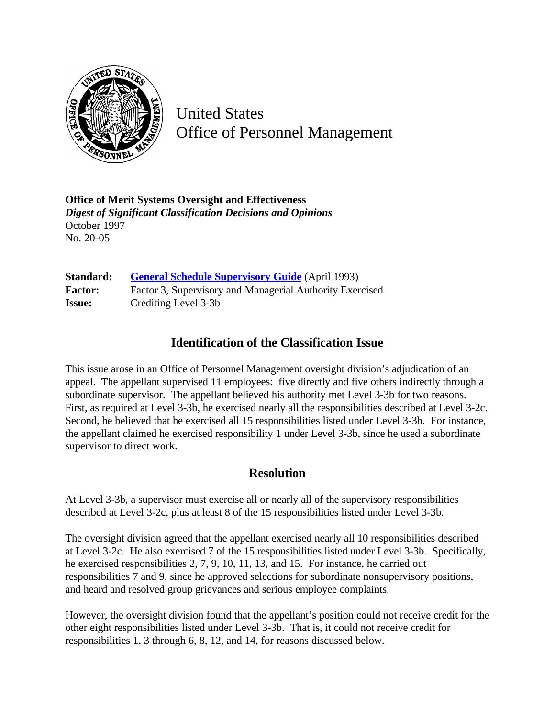

United States Office of Personnel Management

**Office of Merit Systems Oversight and Effectiveness** *Digest of Significant Classification Decisions and Opinions* October 1997 No. 20-05

**Standard: [General Schedule Supervisory Guide](http://www.opm.gov/hr/fedclass/gssg.pdf)** (April 1993) Factor: Factor 3, Supervisory and Managerial Authority Exercised **Issue:** Crediting Level 3-3b

## **Identification of the Classification Issue**

This issue arose in an Office of Personnel Management oversight division's adjudication of an appeal. The appellant supervised 11 employees: five directly and five others indirectly through a subordinate supervisor. The appellant believed his authority met Level 3-3b for two reasons. First, as required at Level 3-3b, he exercised nearly all the responsibilities described at Level 3-2c. Second, he believed that he exercised all 15 responsibilities listed under Level 3-3b. For instance, the appellant claimed he exercised responsibility 1 under Level 3-3b, since he used a subordinate supervisor to direct work.

## **Resolution**

At Level 3-3b, a supervisor must exercise all or nearly all of the supervisory responsibilities described at Level 3-2c, plus at least 8 of the 15 responsibilities listed under Level 3-3b.

The oversight division agreed that the appellant exercised nearly all 10 responsibilities described at Level 3-2c. He also exercised 7 of the 15 responsibilities listed under Level 3-3b. Specifically, he exercised responsibilities 2, 7, 9, 10, 11, 13, and 15. For instance, he carried out responsibilities 7 and 9, since he approved selections for subordinate nonsupervisory positions, and heard and resolved group grievances and serious employee complaints.

However, the oversight division found that the appellant's position could not receive credit for the other eight responsibilities listed under Level 3-3b. That is, it could not receive credit for responsibilities 1, 3 through 6, 8, 12, and 14, for reasons discussed below.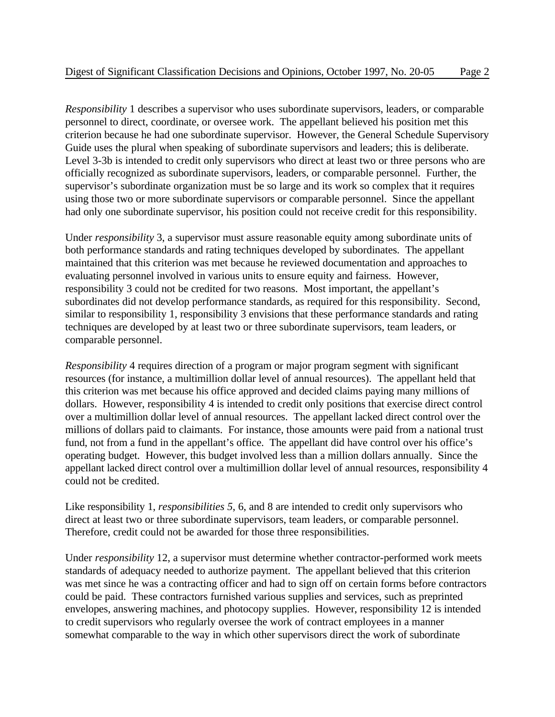*Responsibility* 1 describes a supervisor who uses subordinate supervisors, leaders, or comparable personnel to direct, coordinate, or oversee work. The appellant believed his position met this criterion because he had one subordinate supervisor. However, the General Schedule Supervisory Guide uses the plural when speaking of subordinate supervisors and leaders; this is deliberate. Level 3-3b is intended to credit only supervisors who direct at least two or three persons who are officially recognized as subordinate supervisors, leaders, or comparable personnel. Further, the supervisor's subordinate organization must be so large and its work so complex that it requires using those two or more subordinate supervisors or comparable personnel. Since the appellant had only one subordinate supervisor, his position could not receive credit for this responsibility.

Under *responsibility* 3, a supervisor must assure reasonable equity among subordinate units of both performance standards and rating techniques developed by subordinates. The appellant maintained that this criterion was met because he reviewed documentation and approaches to evaluating personnel involved in various units to ensure equity and fairness. However, responsibility 3 could not be credited for two reasons. Most important, the appellant's subordinates did not develop performance standards, as required for this responsibility. Second, similar to responsibility 1, responsibility 3 envisions that these performance standards and rating techniques are developed by at least two or three subordinate supervisors, team leaders, or comparable personnel.

*Responsibility* 4 requires direction of a program or major program segment with significant resources (for instance, a multimillion dollar level of annual resources). The appellant held that this criterion was met because his office approved and decided claims paying many millions of dollars. However, responsibility 4 is intended to credit only positions that exercise direct control over a multimillion dollar level of annual resources. The appellant lacked direct control over the millions of dollars paid to claimants. For instance, those amounts were paid from a national trust fund, not from a fund in the appellant's office. The appellant did have control over his office's operating budget. However, this budget involved less than a million dollars annually. Since the appellant lacked direct control over a multimillion dollar level of annual resources, responsibility 4 could not be credited.

Like responsibility 1, *responsibilities 5*, 6, and 8 are intended to credit only supervisors who direct at least two or three subordinate supervisors, team leaders, or comparable personnel. Therefore, credit could not be awarded for those three responsibilities.

Under *responsibility* 12, a supervisor must determine whether contractor-performed work meets standards of adequacy needed to authorize payment. The appellant believed that this criterion was met since he was a contracting officer and had to sign off on certain forms before contractors could be paid. These contractors furnished various supplies and services, such as preprinted envelopes, answering machines, and photocopy supplies. However, responsibility 12 is intended to credit supervisors who regularly oversee the work of contract employees in a manner somewhat comparable to the way in which other supervisors direct the work of subordinate